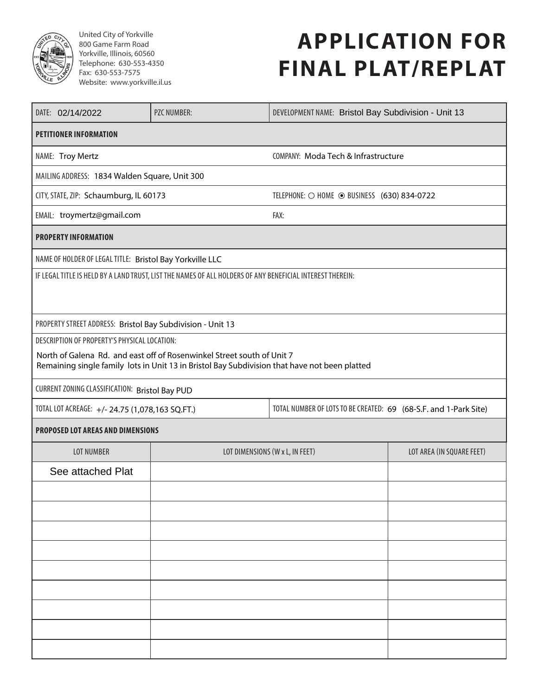

United City of Yorkville 800 Game Farm Road Yorkville, Illinois, 60560 Telephone: 630-553-4350 Fax: 630-553-7575 Website: www.yorkville.il.us

# **APPLICATION FOR FINAL PLAT/REPLAT**

| DATE: 02/14/2022                                                                                          | <b>PZC NUMBER:</b>                                                                                                                                                      | DEVELOPMENT NAME: Bristol Bay Subdivision - Unit 13              |                           |  |  |
|-----------------------------------------------------------------------------------------------------------|-------------------------------------------------------------------------------------------------------------------------------------------------------------------------|------------------------------------------------------------------|---------------------------|--|--|
| <b>PETITIONER INFORMATION</b>                                                                             |                                                                                                                                                                         |                                                                  |                           |  |  |
| NAME: Troy Mertz                                                                                          |                                                                                                                                                                         | COMPANY: Moda Tech & Infrastructure                              |                           |  |  |
| MAILING ADDRESS: 1834 Walden Square, Unit 300                                                             |                                                                                                                                                                         |                                                                  |                           |  |  |
| CITY, STATE, ZIP: Schaumburg, IL 60173                                                                    |                                                                                                                                                                         | TELEPHONE: O HOME © BUSINESS (630) 834-0722                      |                           |  |  |
| EMAIL: troymertz@gmail.com                                                                                |                                                                                                                                                                         | FAX:                                                             |                           |  |  |
| <b>PROPERTY INFORMATION</b>                                                                               |                                                                                                                                                                         |                                                                  |                           |  |  |
| NAME OF HOLDER OF LEGAL TITLE: Bristol Bay Yorkville LLC                                                  |                                                                                                                                                                         |                                                                  |                           |  |  |
| IF LEGAL TITLE IS HELD BY A LAND TRUST, LIST THE NAMES OF ALL HOLDERS OF ANY BENEFICIAL INTEREST THEREIN: |                                                                                                                                                                         |                                                                  |                           |  |  |
| PROPERTY STREET ADDRESS: Bristol Bay Subdivision - Unit 13                                                |                                                                                                                                                                         |                                                                  |                           |  |  |
| DESCRIPTION OF PROPERTY'S PHYSICAL LOCATION:                                                              |                                                                                                                                                                         |                                                                  |                           |  |  |
|                                                                                                           | North of Galena Rd. and east off of Rosenwinkel Street south of Unit 7<br>Remaining single family lots in Unit 13 in Bristol Bay Subdivision that have not been platted |                                                                  |                           |  |  |
| CURRENT ZONING CLASSIFICATION: Bristol Bay PUD                                                            |                                                                                                                                                                         |                                                                  |                           |  |  |
| TOTAL LOT ACREAGE: +/- 24.75 (1,078,163 SQ.FT.)                                                           |                                                                                                                                                                         | TOTAL NUMBER OF LOTS TO BE CREATED: 69 (68-S.F. and 1-Park Site) |                           |  |  |
| PROPOSED LOT AREAS AND DIMENSIONS                                                                         |                                                                                                                                                                         |                                                                  |                           |  |  |
| <b>LOT NUMBER</b>                                                                                         | LOT DIMENSIONS (W x L, IN FEET)                                                                                                                                         |                                                                  | LOT AREA (IN SQUARE FEET) |  |  |
| See attached Plat                                                                                         |                                                                                                                                                                         |                                                                  |                           |  |  |
|                                                                                                           |                                                                                                                                                                         |                                                                  |                           |  |  |
|                                                                                                           |                                                                                                                                                                         |                                                                  |                           |  |  |
|                                                                                                           |                                                                                                                                                                         |                                                                  |                           |  |  |
|                                                                                                           |                                                                                                                                                                         |                                                                  |                           |  |  |
|                                                                                                           |                                                                                                                                                                         |                                                                  |                           |  |  |
|                                                                                                           |                                                                                                                                                                         |                                                                  |                           |  |  |
|                                                                                                           |                                                                                                                                                                         |                                                                  |                           |  |  |
|                                                                                                           |                                                                                                                                                                         |                                                                  |                           |  |  |
|                                                                                                           |                                                                                                                                                                         |                                                                  |                           |  |  |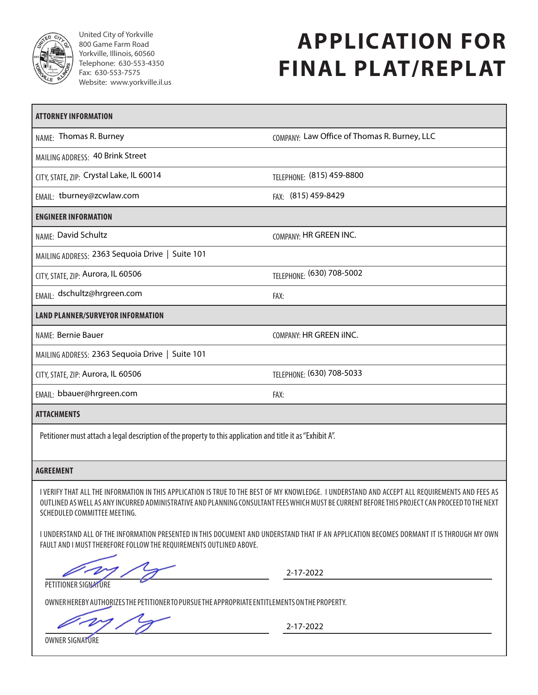

United City of Yorkville 800 Game Farm Road Yorkville, Illinois, 60560 Telephone: 630-553-4350 Fax: 630-553-7575 Website: www.yorkville.il.us

# **APPLICATION FOR FINAL PLAT/REPLAT**

| <b>ATTORNEY INFORMATION</b>                                                                                 |                                              |
|-------------------------------------------------------------------------------------------------------------|----------------------------------------------|
| NAME: Thomas R. Burney                                                                                      | COMPANY: Law Office of Thomas R. Burney, LLC |
| MAILING ADDRESS: 40 Brink Street                                                                            |                                              |
| CITY, STATE, ZIP: Crystal Lake, IL 60014                                                                    | TELEPHONE: (815) 459-8800                    |
| EMAIL: tburney@zcwlaw.com                                                                                   | FAX: (815) 459-8429                          |
| <b>ENGINEER INFORMATION</b>                                                                                 |                                              |
| NAME: David Schultz                                                                                         | COMPANY: HR GREEN INC.                       |
| MAILING ADDRESS: 2363 Sequoia Drive   Suite 101                                                             |                                              |
| CITY, STATE, ZIP: Aurora, IL 60506                                                                          | TELEPHONE: (630) 708-5002                    |
| EMAIL: dschultz@hrgreen.com                                                                                 | FAX:                                         |
| <b>LAND PLANNER/SURVEYOR INFORMATION</b>                                                                    |                                              |
| NAME: Bernie Bauer                                                                                          | COMPANY: HR GREEN IINC.                      |
| MAILING ADDRESS: 2363 Sequoia Drive   Suite 101                                                             |                                              |
| CITY, STATE, ZIP: Aurora, IL 60506                                                                          | TELEPHONE: (630) 708-5033                    |
| EMAIL: bbauer@hrgreen.com                                                                                   | FAX:                                         |
| <b>ATTACHMENTS</b>                                                                                          |                                              |
| Petitioner must attach a legal description of the property to this application and title it as "Exhibit A". |                                              |

#### **AGREEMENT**

I VERIFY THAT ALL THE INFORMATION IN THIS APPLICATION IS TRUE TO THE BEST OF MY KNOWLEDGE. I UNDERSTAND AND ACCEPT ALL REQUIREMENTS AND FEES AS OUTLINED AS WELL AS ANY INCURRED ADMINISTRATIVE AND PLANNING CONSULTANT FEES WHICH MUST BE CURRENT BEFORE THIS PROJECT CAN PROCEED TO THE NEXT SCHEDULED COMMITTEE MEETING.

I UNDERSTAND ALL OF THE INFORMATION PRESENTED IN THIS DOCUMENT AND UNDERSTAND THAT IF AN APPLICATION BECOMES DORMANT IT IS THROUGH MY OWN FAULT AND I MUST THEREFORE FOLLOW THE REQUIREMENTS OUTLINED ABOVE.

2-17-2022

PETITIONER SIGNATURE

OWNER HEREBY AUTHORIZES THE PETITIONER TO PURSUE THE APPROPRIATE ENTITLEMENTS ON THE PROPERTY.

2-17-2022

OWNER SIGNATURE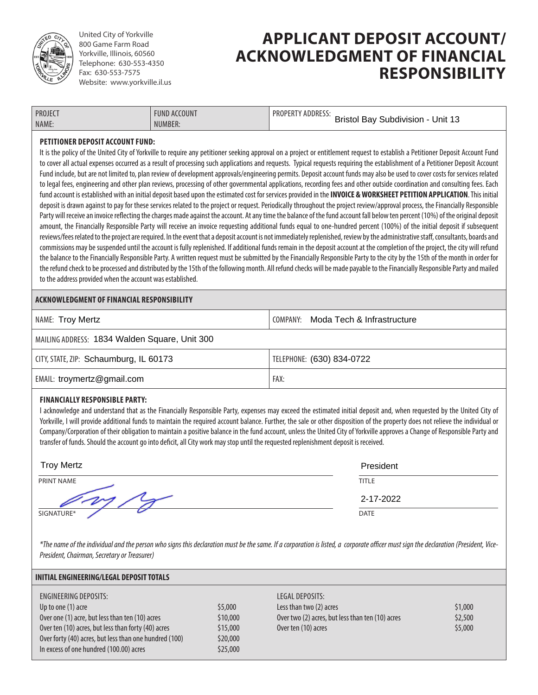

United City of Yorkville 800 Game Farm Road Yorkville, Illinois, 60560 Telephone: 630-553-4350 Fax: 630-553-7575 Website: www.yorkville.il.us

### **APPLICANT DEPOSIT ACCOUNT/ ACKNOWLEDGMENT OF FINANCIAL RESPONSIBILITY**

| <b>PROJECT</b> | FUND ACCOUNT | PROPERTY ADDRESS:                        |
|----------------|--------------|------------------------------------------|
| NAME:          | NUMBER:      | <b>Bristol Bay Subdivision - Unit 13</b> |

#### **PETITIONER DEPOSIT ACCOUNT FUND:**

It is the policy of the United City of Yorkville to require any petitioner seeking approval on a project or entitlement request to establish a Petitioner Deposit Account Fund to cover all actual expenses occurred as a result of processing such applications and requests. Typical requests requiring the establishment of a Petitioner Deposit Account Fund include, but are not limited to, plan review of development approvals/engineering permits. Deposit account funds may also be used to cover costs for services related to legal fees, engineering and other plan reviews, processing of other governmental applications, recording fees and other outside coordination and consulting fees. Each fund account is established with an initial deposit based upon the estimated cost for services provided in the **INVOICE & WORKSHEET PETITION APPLICATION**. This initial deposit is drawn against to pay for these services related to the project or request. Periodically throughout the project review/approval process, the Financially Responsible Party will receive an invoice reflecting the charges made against the account. At any time the balance of the fund account fall below ten percent (10%) of the original deposit amount, the Financially Responsible Party will receive an invoice requesting additional funds equal to one-hundred percent (100%) of the initial deposit if subsequent reviews/fees related to the project are required. In the event that a deposit account is not immediately replenished, review by the administrative staff, consultants, boards and commissions may be suspended until the account is fully replenished. If additional funds remain in the deposit account at the completion of the project, the city will refund the balance to the Financially Responsible Party. A written request must be submitted by the Financially Responsible Party to the city by the 15th of the month in order for the refund check to be processed and distributed by the 15th of the following month. All refund checks will be made payable to the Financially Responsible Party and mailed to the address provided when the account was established.

### **ACKNOWLEDGMENT OF FINANCIAL RESPONSIBILITY**

| NAME: Troy Mertz                              | COMPANY: Moda Tech & Infrastructure |
|-----------------------------------------------|-------------------------------------|
| MAILING ADDRESS: 1834 Walden Square, Unit 300 |                                     |
| CITY, STATE, ZIP: Schaumburg, IL 60173        | TELEPHONE: (630) 834-0722           |
| EMAIL: troymertz@gmail.com                    | FAX:                                |

#### **FINANCIALLY RESPONSIBLE PARTY:**

I acknowledge and understand that as the Financially Responsible Party, expenses may exceed the estimated initial deposit and, when requested by the United City of Yorkville, I will provide additional funds to maintain the required account balance. Further, the sale or other disposition of the property does not relieve the individual or Company/Corporation of their obligation to maintain a positive balance in the fund account, unless the United City of Yorkville approves a Change of Responsible Party and transfer of funds. Should the account go into deficit, all City work may stop until the requested replenishment deposit is received.

| <b>Troy Mertz</b> | President    |
|-------------------|--------------|
| PRINT NAME        | <b>TITLE</b> |
|                   | 2-17-2022    |
| SIGNATURE*        | <b>DATE</b>  |

*\*The name of the individual and the person who signs this declaration must be the same. If a corporation is listed, a corporate officer must sign the declaration (President, Vice-President, Chairman, Secretary or Treasurer)*

| <b>INITIAL ENGINEERING/LEGAL DEPOSIT TOTALS</b>                                                                                                                                                                 |                                             |                                                                                                                       |                               |  |  |  |
|-----------------------------------------------------------------------------------------------------------------------------------------------------------------------------------------------------------------|---------------------------------------------|-----------------------------------------------------------------------------------------------------------------------|-------------------------------|--|--|--|
| ENGINEERING DEPOSITS:<br>Up to one (1) acre<br>Over one (1) acre, but less than ten (10) acres<br>Over ten (10) acres, but less than forty (40) acres<br>Over forty (40) acres, but less than one hundred (100) | \$5,000<br>\$10,000<br>\$15,000<br>\$20,000 | LEGAL DEPOSITS:<br>Less than two (2) acres<br>Over two (2) acres, but less than ten (10) acres<br>Over ten (10) acres | \$1,000<br>\$2,500<br>\$5,000 |  |  |  |
| In excess of one hundred (100.00) acres                                                                                                                                                                         | \$25,000                                    |                                                                                                                       |                               |  |  |  |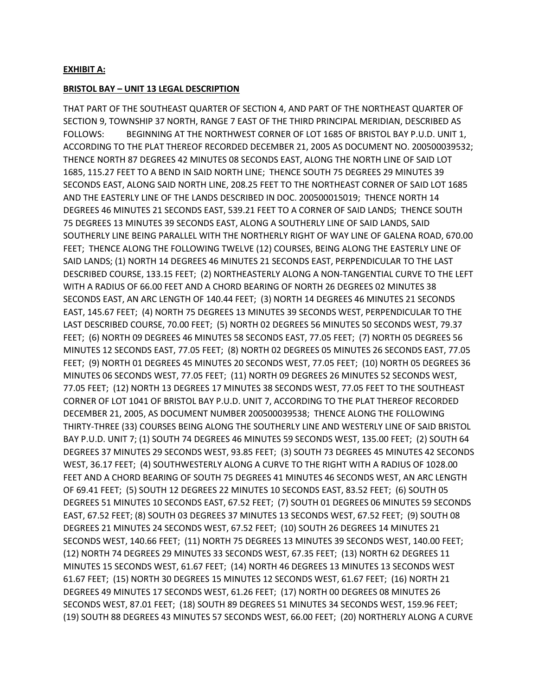#### **EXHIBIT A:**

#### **BRISTOL BAY – UNIT 13 LEGAL DESCRIPTION**

THAT PART OF THE SOUTHEAST QUARTER OF SECTION 4, AND PART OF THE NORTHEAST QUARTER OF SECTION 9, TOWNSHIP 37 NORTH, RANGE 7 EAST OF THE THIRD PRINCIPAL MERIDIAN, DESCRIBED AS FOLLOWS: BEGINNING AT THE NORTHWEST CORNER OF LOT 1685 OF BRISTOL BAY P.U.D. UNIT 1, ACCORDING TO THE PLAT THEREOF RECORDED DECEMBER 21, 2005 AS DOCUMENT NO. 200500039532; THENCE NORTH 87 DEGREES 42 MINUTES 08 SECONDS EAST, ALONG THE NORTH LINE OF SAID LOT 1685, 115.27 FEET TO A BEND IN SAID NORTH LINE; THENCE SOUTH 75 DEGREES 29 MINUTES 39 SECONDS EAST, ALONG SAID NORTH LINE, 208.25 FEET TO THE NORTHEAST CORNER OF SAID LOT 1685 AND THE EASTERLY LINE OF THE LANDS DESCRIBED IN DOC. 200500015019; THENCE NORTH 14 DEGREES 46 MINUTES 21 SECONDS EAST, 539.21 FEET TO A CORNER OF SAID LANDS; THENCE SOUTH 75 DEGREES 13 MINUTES 39 SECONDS EAST, ALONG A SOUTHERLY LINE OF SAID LANDS, SAID SOUTHERLY LINE BEING PARALLEL WITH THE NORTHERLY RIGHT OF WAY LINE OF GALENA ROAD, 670.00 FEET; THENCE ALONG THE FOLLOWING TWELVE (12) COURSES, BEING ALONG THE EASTERLY LINE OF SAID LANDS; (1) NORTH 14 DEGREES 46 MINUTES 21 SECONDS EAST, PERPENDICULAR TO THE LAST DESCRIBED COURSE, 133.15 FEET; (2) NORTHEASTERLY ALONG A NON-TANGENTIAL CURVE TO THE LEFT WITH A RADIUS OF 66.00 FEET AND A CHORD BEARING OF NORTH 26 DEGREES 02 MINUTES 38 SECONDS EAST, AN ARC LENGTH OF 140.44 FEET; (3) NORTH 14 DEGREES 46 MINUTES 21 SECONDS EAST, 145.67 FEET; (4) NORTH 75 DEGREES 13 MINUTES 39 SECONDS WEST, PERPENDICULAR TO THE LAST DESCRIBED COURSE, 70.00 FEET; (5) NORTH 02 DEGREES 56 MINUTES 50 SECONDS WEST, 79.37 FEET; (6) NORTH 09 DEGREES 46 MINUTES 58 SECONDS EAST, 77.05 FEET; (7) NORTH 05 DEGREES 56 MINUTES 12 SECONDS EAST, 77.05 FEET; (8) NORTH 02 DEGREES 05 MINUTES 26 SECONDS EAST, 77.05 FEET; (9) NORTH 01 DEGREES 45 MINUTES 20 SECONDS WEST, 77.05 FEET; (10) NORTH 05 DEGREES 36 MINUTES 06 SECONDS WEST, 77.05 FEET; (11) NORTH 09 DEGREES 26 MINUTES 52 SECONDS WEST, 77.05 FEET; (12) NORTH 13 DEGREES 17 MINUTES 38 SECONDS WEST, 77.05 FEET TO THE SOUTHEAST CORNER OF LOT 1041 OF BRISTOL BAY P.U.D. UNIT 7, ACCORDING TO THE PLAT THEREOF RECORDED DECEMBER 21, 2005, AS DOCUMENT NUMBER 200500039538; THENCE ALONG THE FOLLOWING THIRTY-THREE (33) COURSES BEING ALONG THE SOUTHERLY LINE AND WESTERLY LINE OF SAID BRISTOL BAY P.U.D. UNIT 7; (1) SOUTH 74 DEGREES 46 MINUTES 59 SECONDS WEST, 135.00 FEET; (2) SOUTH 64 DEGREES 37 MINUTES 29 SECONDS WEST, 93.85 FEET; (3) SOUTH 73 DEGREES 45 MINUTES 42 SECONDS WEST, 36.17 FEET; (4) SOUTHWESTERLY ALONG A CURVE TO THE RIGHT WITH A RADIUS OF 1028.00 FEET AND A CHORD BEARING OF SOUTH 75 DEGREES 41 MINUTES 46 SECONDS WEST, AN ARC LENGTH OF 69.41 FEET; (5) SOUTH 12 DEGREES 22 MINUTES 10 SECONDS EAST, 83.52 FEET; (6) SOUTH 05 DEGREES 51 MINUTES 10 SECONDS EAST, 67.52 FEET; (7) SOUTH 01 DEGREES 06 MINUTES 59 SECONDS EAST, 67.52 FEET; (8) SOUTH 03 DEGREES 37 MINUTES 13 SECONDS WEST, 67.52 FEET; (9) SOUTH 08 DEGREES 21 MINUTES 24 SECONDS WEST, 67.52 FEET; (10) SOUTH 26 DEGREES 14 MINUTES 21 SECONDS WEST, 140.66 FEET; (11) NORTH 75 DEGREES 13 MINUTES 39 SECONDS WEST, 140.00 FEET; (12) NORTH 74 DEGREES 29 MINUTES 33 SECONDS WEST, 67.35 FEET; (13) NORTH 62 DEGREES 11 MINUTES 15 SECONDS WEST, 61.67 FEET; (14) NORTH 46 DEGREES 13 MINUTES 13 SECONDS WEST 61.67 FEET; (15) NORTH 30 DEGREES 15 MINUTES 12 SECONDS WEST, 61.67 FEET; (16) NORTH 21 DEGREES 49 MINUTES 17 SECONDS WEST, 61.26 FEET; (17) NORTH 00 DEGREES 08 MINUTES 26 SECONDS WEST, 87.01 FEET; (18) SOUTH 89 DEGREES 51 MINUTES 34 SECONDS WEST, 159.96 FEET; (19) SOUTH 88 DEGREES 43 MINUTES 57 SECONDS WEST, 66.00 FEET; (20) NORTHERLY ALONG A CURVE